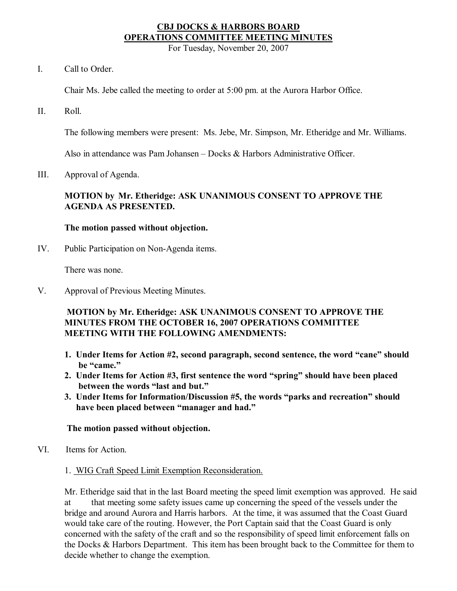# **CBJ DOCKS & HARBORS BOARD OPERATIONS COMMITTEE MEETING MINUTES**

For Tuesday, November 20, 2007

I. Call to Order.

Chair Ms. Jebe called the meeting to order at 5:00 pm. at the Aurora Harbor Office.

II. Roll.

The following members were present: Ms. Jebe, Mr. Simpson, Mr. Etheridge and Mr. Williams.

Also in attendance was Pam Johansen – Docks & Harbors Administrative Officer.

III. Approval of Agenda.

### **MOTION by Mr. Etheridge: ASK UNANIMOUS CONSENT TO APPROVE THE AGENDA AS PRESENTED.**

#### **The motion passed without objection.**

IV. Public Participation on Non-Agenda items.

There was none.

V. Approval of Previous Meeting Minutes.

# **MOTION by Mr. Etheridge: ASK UNANIMOUS CONSENT TO APPROVE THE MINUTES FROM THE OCTOBER 16, 2007 OPERATIONS COMMITTEE MEETING WITH THE FOLLOWING AMENDMENTS:**

- **1. Under Items for Action #2, second paragraph, second sentence, the word "cane" should be "came."**
- **2. Under Items for Action #3, first sentence the word "spring" should have been placed between the words "last and but."**
- **3. Under Items for Information/Discussion #5, the words "parks and recreation" should have been placed between "manager and had."**

# **The motion passed without objection.**

VI. Items for Action.

# 1. WIG Craft Speed Limit Exemption Reconsideration.

Mr. Etheridge said that in the last Board meeting the speed limit exemption was approved. He said at that meeting some safety issues came up concerning the speed of the vessels under the bridge and around Aurora and Harris harbors. At the time, it was assumed that the Coast Guard would take care of the routing. However, the Port Captain said that the Coast Guard is only concerned with the safety of the craft and so the responsibility of speed limit enforcement falls on the Docks & Harbors Department. This item has been brought back to the Committee for them to decide whether to change the exemption.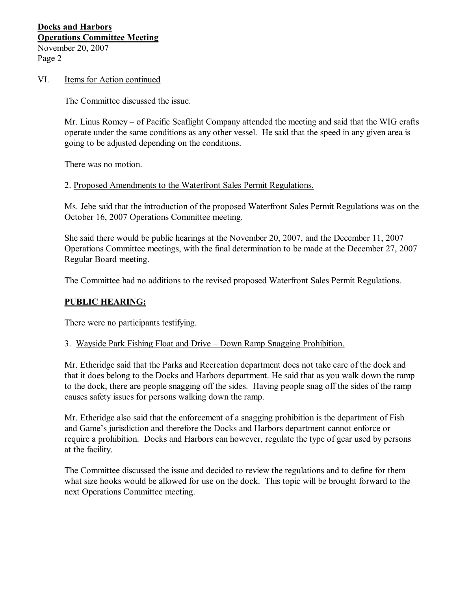# **Docks and Harbors Operations Committee Meeting** November 20, 2007 Page 2

#### VI. Items for Action continued

The Committee discussed the issue.

Mr. Linus Romey – of Pacific Seaflight Company attended the meeting and said that the WIG crafts operate under the same conditions as any other vessel. He said that the speed in any given area is going to be adjusted depending on the conditions.

There was no motion.

#### 2. Proposed Amendments to the Waterfront Sales Permit Regulations.

Ms. Jebe said that the introduction of the proposed Waterfront Sales Permit Regulations was on the October 16, 2007 Operations Committee meeting.

She said there would be public hearings at the November 20, 2007, and the December 11, 2007 Operations Committee meetings, with the final determination to be made at the December 27, 2007 Regular Board meeting.

The Committee had no additions to the revised proposed Waterfront Sales Permit Regulations.

# **PUBLIC HEARING:**

There were no participants testifying.

#### 3. Wayside Park Fishing Float and Drive – Down Ramp Snagging Prohibition.

Mr. Etheridge said that the Parks and Recreation department does not take care of the dock and that it does belong to the Docks and Harbors department. He said that as you walk down the ramp to the dock, there are people snagging off the sides. Having people snag off the sides of the ramp causes safety issues for persons walking down the ramp.

Mr. Etheridge also said that the enforcement of a snagging prohibition is the department of Fish and Game's jurisdiction and therefore the Docks and Harbors department cannot enforce or require a prohibition. Docks and Harbors can however, regulate the type of gear used by persons at the facility.

The Committee discussed the issue and decided to review the regulations and to define for them what size hooks would be allowed for use on the dock. This topic will be brought forward to the next Operations Committee meeting.